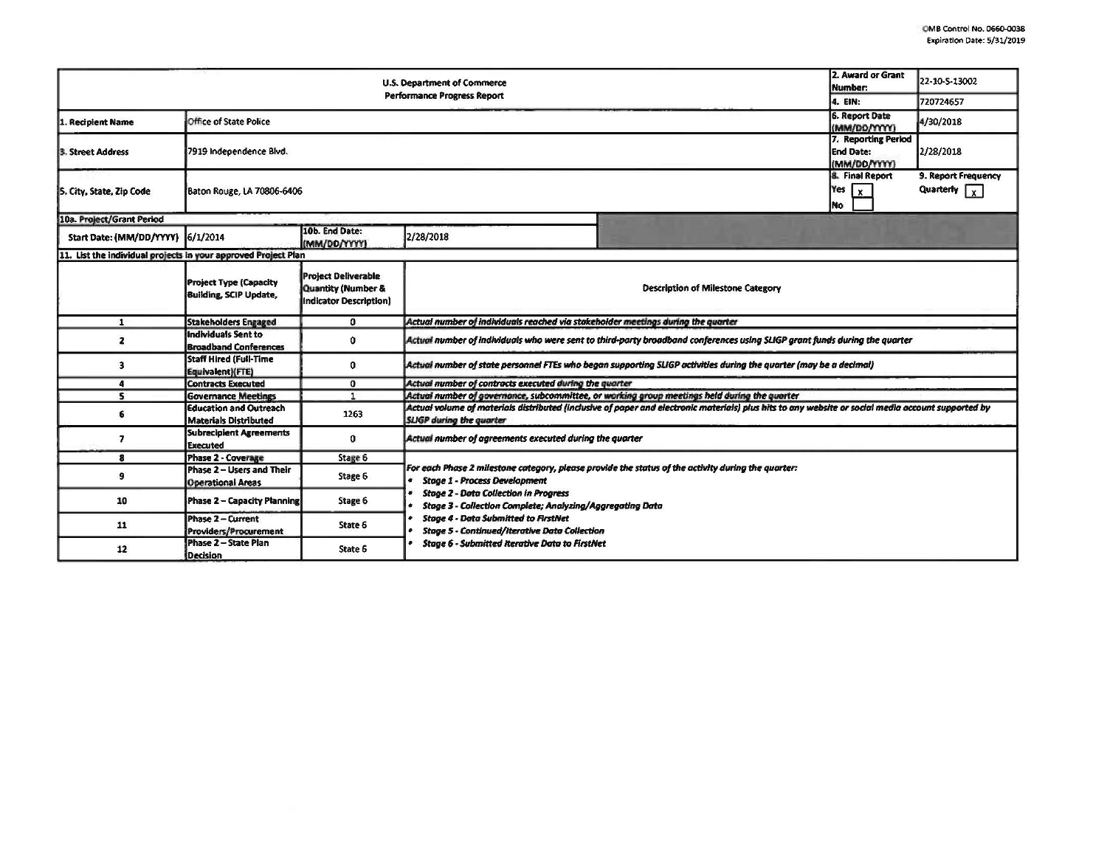|                                                                |                                                                |                                                                                       | U.S. Department of Commerce                                                                               |                                                                                                                                                    | 2. Award or Grant<br><b>Number:</b>                     | 22-10-S-13002                               |
|----------------------------------------------------------------|----------------------------------------------------------------|---------------------------------------------------------------------------------------|-----------------------------------------------------------------------------------------------------------|----------------------------------------------------------------------------------------------------------------------------------------------------|---------------------------------------------------------|---------------------------------------------|
|                                                                |                                                                |                                                                                       | <b>Performance Progress Report</b>                                                                        |                                                                                                                                                    | 4. EIN:                                                 | 720724657                                   |
| 1. Recipient Name                                              | <b>Office of State Police</b>                                  |                                                                                       |                                                                                                           |                                                                                                                                                    | <b>6. Report Date</b><br>(MM/DD/YYYY)                   | 4/30/2018                                   |
| 3. Street Address                                              | 7919 Independence Blvd.                                        |                                                                                       |                                                                                                           |                                                                                                                                                    | 7. Reporting Period<br><b>End Date:</b><br>(MM/DD/YYYY) | 2/28/2018                                   |
| 5. City, State, Zip Code                                       | Baton Rouge, LA 70806-6406                                     |                                                                                       |                                                                                                           |                                                                                                                                                    | <b>8. Final Report</b><br>Yes $\sqrt{x}$<br><b>INo</b>  | 9. Report Frequency<br>Quarterly $\sqrt{x}$ |
| 10a. Project/Grant Period                                      |                                                                |                                                                                       |                                                                                                           |                                                                                                                                                    |                                                         |                                             |
| Start Date: (MM/DD/YYYY) 6/1/2014                              |                                                                | 10b. End Date:<br>(MM/00/YYYY)                                                        | 2/28/2018                                                                                                 |                                                                                                                                                    |                                                         |                                             |
| 11. List the individual projects in your approved Project Plan |                                                                |                                                                                       |                                                                                                           |                                                                                                                                                    |                                                         |                                             |
|                                                                | <b>Project Type (Capacity</b><br><b>Building, SCIP Update,</b> | <b>Project Deliverable</b><br><b>Quantity (Number &amp;</b><br>Indicator Description) |                                                                                                           | <b>Description of Milestone Category</b>                                                                                                           |                                                         |                                             |
| $\mathbf{1}$                                                   | <b>Stakeholders Engaged</b>                                    | O                                                                                     | Actual number of individuals reached via stakeholder meetings during the quarter                          |                                                                                                                                                    |                                                         |                                             |
| $\mathbf{z}$                                                   | <b>Individuals Sent to</b><br><b>Broadband Conferences</b>     | 0                                                                                     |                                                                                                           | Actual number of individuals who were sent to third-party broadband conferences using SLIGP grant funds during the quarter                         |                                                         |                                             |
| 3                                                              | <b>Staff Hired (Full-Time</b><br>Equivalent)(FTE)              | 0                                                                                     |                                                                                                           | Actual number of state personnel FTEs who began supporting SLIGP activities during the quarter (may be a decimal)                                  |                                                         |                                             |
| 4                                                              | <b>Contracts Executed</b>                                      | 0                                                                                     | Actual number of contracts executed during the quarter                                                    |                                                                                                                                                    |                                                         |                                             |
| s                                                              | <b>Governance Meetings</b>                                     | 1                                                                                     |                                                                                                           | Actual number of governance, subcommittee, or working group meetings held during the quarter                                                       |                                                         |                                             |
| 6                                                              | <b>Education and Outreach</b><br><b>Materials Distributed</b>  | 1263                                                                                  | <b>SLIGP</b> during the quarter                                                                           | Actual volume of materials distributed (inclusive of paper and electronic materials) plus hits to any website or social media account supported by |                                                         |                                             |
| 7                                                              | <b>Subrecipient Agreements</b><br><b>Executed</b>              | Û                                                                                     | Actual number of agreements executed during the quarter                                                   |                                                                                                                                                    |                                                         |                                             |
| 8                                                              | <b>Phase 2 - Coverage</b>                                      | Stage 6                                                                               |                                                                                                           |                                                                                                                                                    |                                                         |                                             |
| 9                                                              | Phase 2 - Users and Their<br><b>Operational Areas</b>          | Stage 6                                                                               | <b>Stage 1 - Process Development</b>                                                                      | For each Phase 2 milestone category, please provide the status of the activity during the quarter:                                                 |                                                         |                                             |
| 10                                                             | Phase 2 - Capacity Planning                                    | Stage 6                                                                               | <b>Stage 2 - Data Collection in Progress</b><br>Stage 3 - Collection Complete; Analyzing/Aggregating Data |                                                                                                                                                    |                                                         |                                             |
| 11                                                             | <b>Phase 2 - Current</b><br>Providers/Procurement              | State 6                                                                               | <b>Stage 4 - Data Submitted to FirstNet</b><br><b>Stage 5 - Continued/Iterative Data Collection</b>       |                                                                                                                                                    |                                                         |                                             |
| 12                                                             | Phase 2 - State Plan<br><b>Decision</b>                        | State 6                                                                               | <b>Stage 6 - Submitted Iterative Data to FirstNet</b>                                                     |                                                                                                                                                    |                                                         |                                             |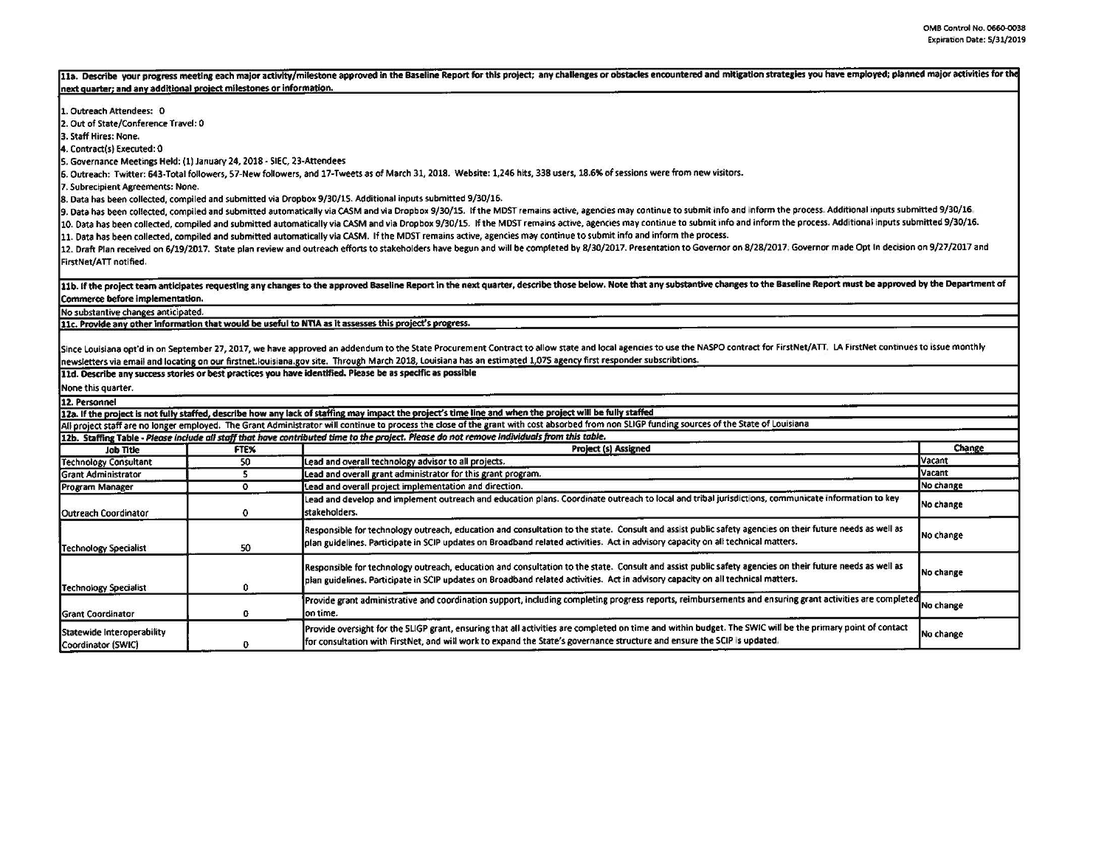|                                                                        |                   | 11a. Describe your progress meeting each major activity/milestone approved in the Baseline Report for this project; any challenges or obstacles encountered and mitigation strategies you have employed; planned major activit |           |
|------------------------------------------------------------------------|-------------------|--------------------------------------------------------------------------------------------------------------------------------------------------------------------------------------------------------------------------------|-----------|
| next quarter; and any additional project milestones or information.    |                   |                                                                                                                                                                                                                                |           |
| 1. Outreach Attendees: 0                                               |                   |                                                                                                                                                                                                                                |           |
| 2. Out of State/Conference Travel: 0                                   |                   |                                                                                                                                                                                                                                |           |
| 3. Staff Hires: None.                                                  |                   |                                                                                                                                                                                                                                |           |
| 4. Contract(s) Executed: 0                                             |                   |                                                                                                                                                                                                                                |           |
| 5. Governance Meetings Held: (1) January 24, 2018 - SIEC, 23-Attendees |                   |                                                                                                                                                                                                                                |           |
|                                                                        |                   | 6. Outreach: Twitter: 643-Total followers, 57-New followers, and 17-Tweets as of March 31, 2018. Website: 1,246 hits, 338 users, 18.6% of sessions were from new visitors.                                                     |           |
| 7. Subrecipient Agreements: None.                                      |                   |                                                                                                                                                                                                                                |           |
|                                                                        |                   | 8. Data has been collected, compiled and submitted via Dropbox 9/30/15. Additional inputs submitted 9/30/16.                                                                                                                   |           |
|                                                                        |                   | 9. Data has been collected, compiled and submitted automatically via CASM and via Dropbox 9/30/15. If the MDST remains active, agencies may continue to submit info and inform the process. Additional inputs submitted 9/30/1 |           |
|                                                                        |                   | 10. Data has been collected, compiled and submitted automatically via CASM and via Dropbox 9/30/15. If the MDST remains active, agencies may continue to submit info and inform the process. Additional inputs submitted 9/30/ |           |
|                                                                        |                   | 11. Data has been collected, compiled and submitted automatically via CASM. If the MDST remains active, agencies may continue to submit info and inform the process.                                                           |           |
|                                                                        |                   | 12. Draft Plan received on 6/19/2017. State plan review and outreach efforts to stakeholders have begun and will be completed by 8/30/2017. Presentation to Governor on 8/28/2017. Governor made Opt In decision on 9/27/2017  |           |
| FirstNet/ATT notified.                                                 |                   |                                                                                                                                                                                                                                |           |
|                                                                        |                   |                                                                                                                                                                                                                                |           |
|                                                                        |                   | 11b. If the project team anticipates requesting any changes to the approved Baseline Report in the next quarter, describe those below. Note that any substantive changes to the Baseline Report must be approved by the Depart |           |
| Commerce before implementation.                                        |                   |                                                                                                                                                                                                                                |           |
| No substantive changes anticipated.                                    |                   |                                                                                                                                                                                                                                |           |
|                                                                        |                   | 11c. Provide any other information that would be useful to NTIA as it assesses this project's progress.                                                                                                                        |           |
|                                                                        |                   |                                                                                                                                                                                                                                |           |
|                                                                        |                   | Since Louisiana opt'd in on September 27, 2017, we have approved an addendum to the State Procurement Contract to allow state and local agencies to use the NASPO contract for FirstNet/ATT. LA FirstNet continues to issue mo |           |
|                                                                        |                   | newsletters via email and locating on our firstnet louisiana gov site. Through March 2018, Louisiana has an estimated 1,075 agency first responder subscribtions.                                                              |           |
|                                                                        |                   | 11d. Describe any success stories or best practices you have identified. Please be as specific as possible                                                                                                                     |           |
| None this quarter.                                                     |                   |                                                                                                                                                                                                                                |           |
| 12. Personnel                                                          |                   |                                                                                                                                                                                                                                |           |
|                                                                        |                   | 12a. If the project is not fully staffed, describe how any lack of staffing may impact the project's time line and when the project will be fully staffed                                                                      |           |
|                                                                        |                   | All project staff are no longer employed. The Grant Administrator will continue to process the close of the grant with cost absorbed from non SLIGP funding sources of the State of Louisiana                                  |           |
|                                                                        |                   | 12b. Staffing Table - Please include all staff that have contributed time to the project. Please do not remove individuals from this table.                                                                                    |           |
| <b>Job Title</b>                                                       | FTEX <sup>1</sup> | <b>Project (s) Assigned</b>                                                                                                                                                                                                    | Change    |
| <b>Technology Consultant</b>                                           | 50                | Lead and overall technology advisor to all projects.                                                                                                                                                                           | Vacant    |
| <b>Grant Administrator</b>                                             | 5                 | Lead and overall grant administrator for this grant program.                                                                                                                                                                   | Vacant    |
| Program Manager                                                        | $\mathbf{o}$      | Lead and overall project implementation and direction.                                                                                                                                                                         | No change |
|                                                                        |                   | Lead and develop and implement outreach and education plans. Coordinate outreach to local and tribal jurisdictions, communicate information to key                                                                             |           |
| Outreach Coordinator                                                   | $\mathbf 0$       | stakeholders.                                                                                                                                                                                                                  | No change |
|                                                                        |                   |                                                                                                                                                                                                                                |           |
|                                                                        |                   | Responsible for technology outreach, education and consultation to the state. Consult and assist public safety agencies on their future needs as well as                                                                       | No change |
| <b>Technology Specialist</b>                                           | 50                | plan guidelines. Participate in SCIP updates on Broadband related activities. Act in advisory capacity on all technical matters.                                                                                               |           |
|                                                                        |                   |                                                                                                                                                                                                                                |           |
|                                                                        |                   | Responsible for technology outreach, education and consultation to the state. Consult and assist public safety agencies on their future needs as well as                                                                       | No change |
|                                                                        | $\mathbf{o}$      | plan guidelines. Participate in SCIP updates on Broadband related activities. Act in advisory capacity on all technical matters.                                                                                               |           |
| <b>Technology Specialist</b>                                           |                   |                                                                                                                                                                                                                                |           |
|                                                                        |                   | Provide grant administrative and coordination support, including completing progress reports, reimbursements and ensuring grant activities are completed No change                                                             |           |
| <b>Grant Coordinator</b>                                               | $\Omega$          | on time.                                                                                                                                                                                                                       |           |
| Statewide Interoperability                                             |                   | Provide oversight for the SLIGP grant, ensuring that all activities are completed on time and within budget. The SWIC will be the primary point of contact                                                                     | No change |
| Coordinator (SWIC)                                                     | $\Omega$          | for consultation with FirstNet, and will work to expand the State's governance structure and ensure the SCIP is updated.                                                                                                       |           |